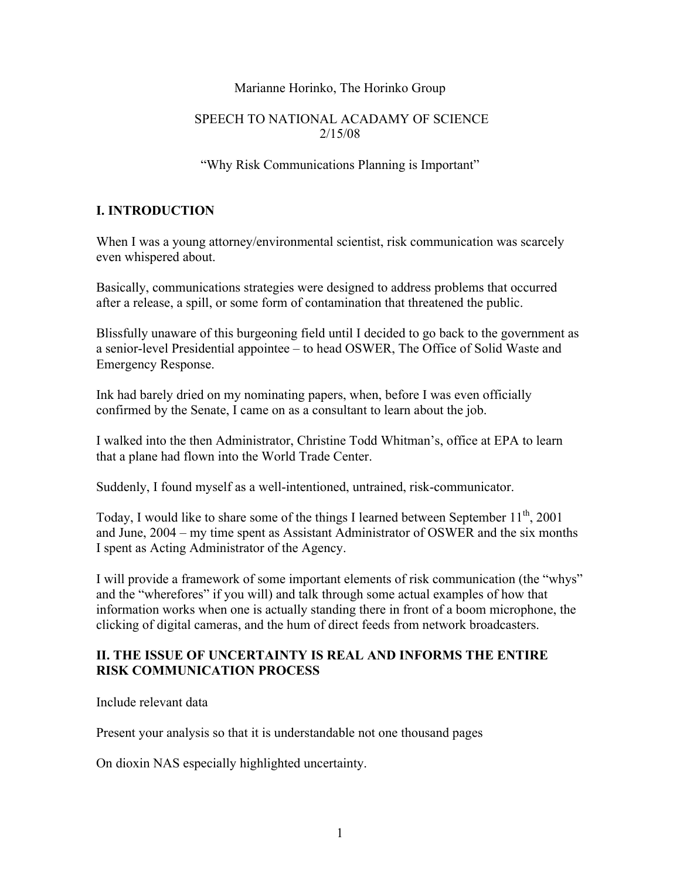#### Marianne Horinko, The Horinko Group

#### SPEECH TO NATIONAL ACADAMY OF SCIENCE 2/15/08

#### "Why Risk Communications Planning is Important"

### **I. INTRODUCTION**

When I was a young attorney/environmental scientist, risk communication was scarcely even whispered about.

Basically, communications strategies were designed to address problems that occurred after a release, a spill, or some form of contamination that threatened the public.

Blissfully unaware of this burgeoning field until I decided to go back to the government as a senior-level Presidential appointee – to head OSWER, The Office of Solid Waste and Emergency Response.

Ink had barely dried on my nominating papers, when, before I was even officially confirmed by the Senate, I came on as a consultant to learn about the job.

I walked into the then Administrator, Christine Todd Whitman's, office at EPA to learn that a plane had flown into the World Trade Center.

Suddenly, I found myself as a well-intentioned, untrained, risk-communicator.

Today, I would like to share some of the things I learned between September  $11^{th}$ , 2001 and June, 2004 – my time spent as Assistant Administrator of OSWER and the six months I spent as Acting Administrator of the Agency.

I will provide a framework of some important elements of risk communication (the "whys" and the "wherefores" if you will) and talk through some actual examples of how that information works when one is actually standing there in front of a boom microphone, the clicking of digital cameras, and the hum of direct feeds from network broadcasters.

#### **II. THE ISSUE OF UNCERTAINTY IS REAL AND INFORMS THE ENTIRE RISK COMMUNICATION PROCESS**

Include relevant data

Present your analysis so that it is understandable not one thousand pages

On dioxin NAS especially highlighted uncertainty.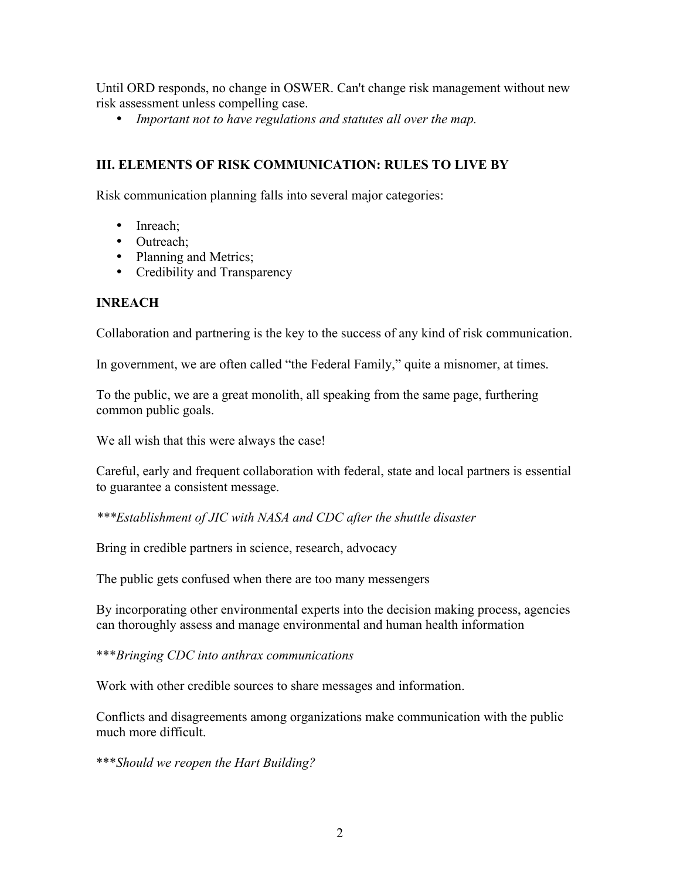Until ORD responds, no change in OSWER. Can't change risk management without new risk assessment unless compelling case.

• *Important not to have regulations and statutes all over the map.*

### **III. ELEMENTS OF RISK COMMUNICATION: RULES TO LIVE BY**

Risk communication planning falls into several major categories:

- Inreach:
- Outreach;
- Planning and Metrics;
- Credibility and Transparency

#### **INREACH**

Collaboration and partnering is the key to the success of any kind of risk communication.

In government, we are often called "the Federal Family," quite a misnomer, at times.

To the public, we are a great monolith, all speaking from the same page, furthering common public goals.

We all wish that this were always the case!

Careful, early and frequent collaboration with federal, state and local partners is essential to guarantee a consistent message.

*\*\*\*Establishment of JIC with NASA and CDC after the shuttle disaster*

Bring in credible partners in science, research, advocacy

The public gets confused when there are too many messengers

By incorporating other environmental experts into the decision making process, agencies can thoroughly assess and manage environmental and human health information

\*\*\**Bringing CDC into anthrax communications*

Work with other credible sources to share messages and information.

Conflicts and disagreements among organizations make communication with the public much more difficult.

\*\*\**Should we reopen the Hart Building?*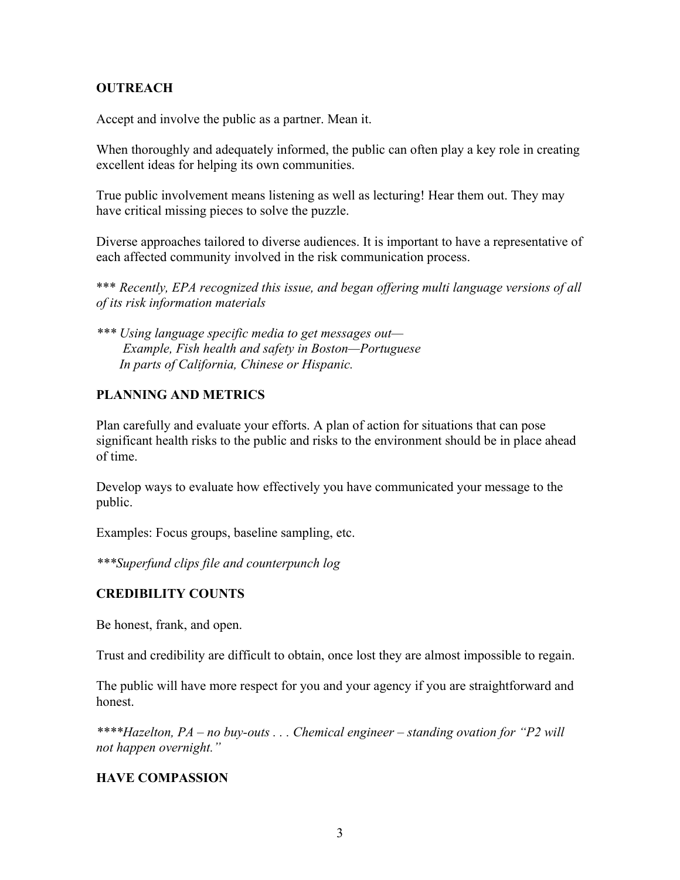### **OUTREACH**

Accept and involve the public as a partner. Mean it.

When thoroughly and adequately informed, the public can often play a key role in creating excellent ideas for helping its own communities.

True public involvement means listening as well as lecturing! Hear them out. They may have critical missing pieces to solve the puzzle.

Diverse approaches tailored to diverse audiences. It is important to have a representative of each affected community involved in the risk communication process.

\*\*\* *Recently, EPA recognized this issue, and began offering multi language versions of all of its risk information materials*

*\*\*\* Using language specific media to get messages out— Example, Fish health and safety in Boston—Portuguese In parts of California, Chinese or Hispanic.*

# **PLANNING AND METRICS**

Plan carefully and evaluate your efforts. A plan of action for situations that can pose significant health risks to the public and risks to the environment should be in place ahead of time.

Develop ways to evaluate how effectively you have communicated your message to the public.

Examples: Focus groups, baseline sampling, etc.

*\*\*\*Superfund clips file and counterpunch log*

### **CREDIBILITY COUNTS**

Be honest, frank, and open.

Trust and credibility are difficult to obtain, once lost they are almost impossible to regain.

The public will have more respect for you and your agency if you are straightforward and honest.

*\*\*\*\*Hazelton, PA – no buy-outs . . . Chemical engineer – standing ovation for "P2 will not happen overnight."*

### **HAVE COMPASSION**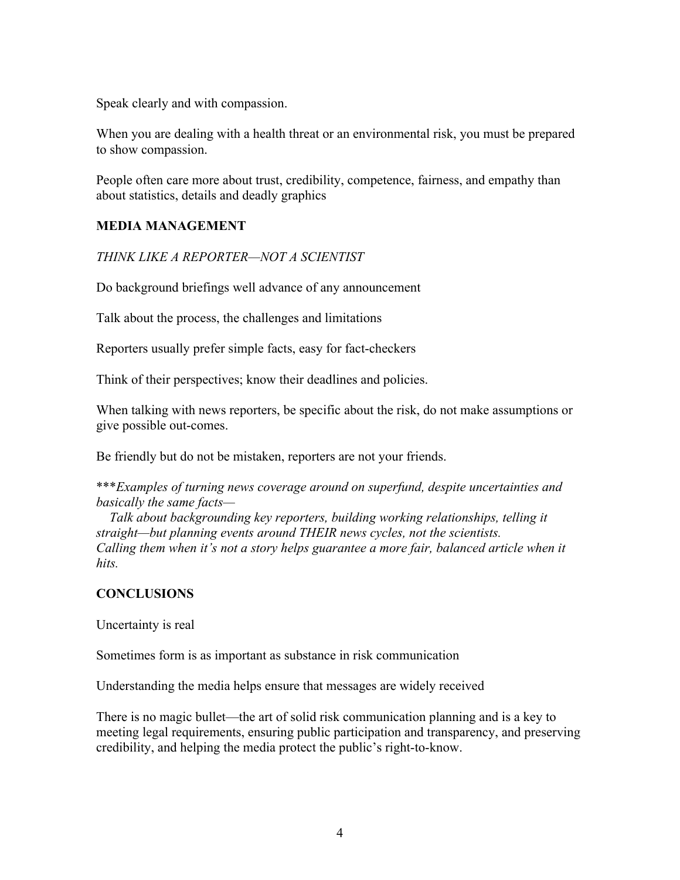Speak clearly and with compassion.

When you are dealing with a health threat or an environmental risk, you must be prepared to show compassion.

People often care more about trust, credibility, competence, fairness, and empathy than about statistics, details and deadly graphics

# **MEDIA MANAGEMENT**

*THINK LIKE A REPORTER—NOT A SCIENTIST*

Do background briefings well advance of any announcement

Talk about the process, the challenges and limitations

Reporters usually prefer simple facts, easy for fact-checkers

Think of their perspectives; know their deadlines and policies.

When talking with news reporters, be specific about the risk, do not make assumptions or give possible out-comes.

Be friendly but do not be mistaken, reporters are not your friends.

\*\*\**Examples of turning news coverage around on superfund, despite uncertainties and basically the same facts—*

 *Talk about backgrounding key reporters, building working relationships, telling it straight—but planning events around THEIR news cycles, not the scientists. Calling them when it's not a story helps guarantee a more fair, balanced article when it hits.*

### **CONCLUSIONS**

Uncertainty is real

Sometimes form is as important as substance in risk communication

Understanding the media helps ensure that messages are widely received

There is no magic bullet—the art of solid risk communication planning and is a key to meeting legal requirements, ensuring public participation and transparency, and preserving credibility, and helping the media protect the public's right-to-know.